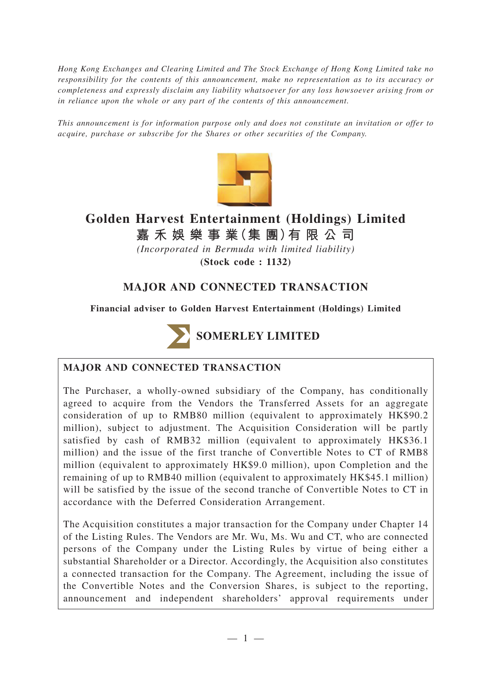*Hong Kong Exchanges and Clearing Limited and The Stock Exchange of Hong Kong Limited take no responsibility for the contents of this announcement, make no representation as to its accuracy or completeness and expressly disclaim any liability whatsoever for any loss howsoever arising from or in reliance upon the whole or any part of the contents of this announcement.*

*This announcement is for information purpose only and does not constitute an invitation or offer to acquire, purchase or subscribe for the Shares or other securities of the Company.*



# **Golden Harvest Entertainment (Holdings) Limited**

**嘉禾娛樂事業(集 團)有限公司**

*(Incorporated in Bermuda with limited liability)*

**(Stock code : 1132)**

# **MAJOR AND CONNECTED TRANSACTION**

**Financial adviser to Golden Harvest Entertainment (Holdings) Limited**



# **MAJOR AND CONNECTED TRANSACTION**

The Purchaser, a wholly-owned subsidiary of the Company, has conditionally agreed to acquire from the Vendors the Transferred Assets for an aggregate consideration of up to RMB80 million (equivalent to approximately HK\$90.2 million), subject to adjustment. The Acquisition Consideration will be partly satisfied by cash of RMB32 million (equivalent to approximately HK\$36.1 million) and the issue of the first tranche of Convertible Notes to CT of RMB8 million (equivalent to approximately HK\$9.0 million), upon Completion and the remaining of up to RMB40 million (equivalent to approximately HK\$45.1 million) will be satisfied by the issue of the second tranche of Convertible Notes to CT in accordance with the Deferred Consideration Arrangement.

The Acquisition constitutes a major transaction for the Company under Chapter 14 of the Listing Rules. The Vendors are Mr. Wu, Ms. Wu and CT, who are connected persons of the Company under the Listing Rules by virtue of being either a substantial Shareholder or a Director. Accordingly, the Acquisition also constitutes a connected transaction for the Company. The Agreement, including the issue of the Convertible Notes and the Conversion Shares, is subject to the reporting, announcement and independent shareholders' approval requirements under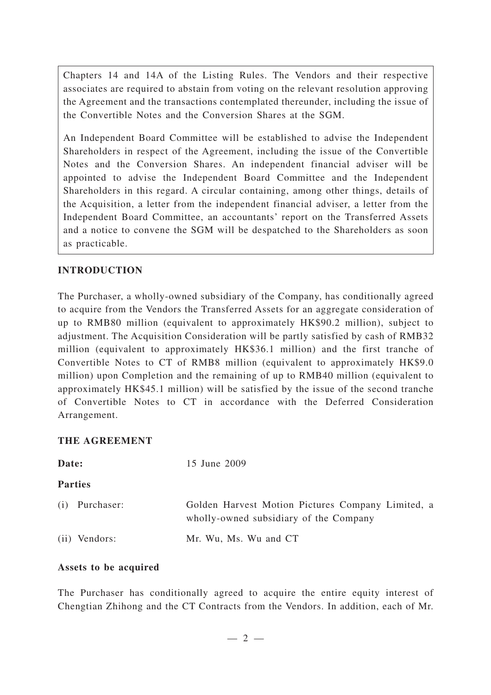Chapters 14 and 14A of the Listing Rules. The Vendors and their respective associates are required to abstain from voting on the relevant resolution approving the Agreement and the transactions contemplated thereunder, including the issue of the Convertible Notes and the Conversion Shares at the SGM.

An Independent Board Committee will be established to advise the Independent Shareholders in respect of the Agreement, including the issue of the Convertible Notes and the Conversion Shares. An independent financial adviser will be appointed to advise the Independent Board Committee and the Independent Shareholders in this regard. A circular containing, among other things, details of the Acquisition, a letter from the independent financial adviser, a letter from the Independent Board Committee, an accountants' report on the Transferred Assets and a notice to convene the SGM will be despatched to the Shareholders as soon as practicable.

# **INTRODUCTION**

The Purchaser, a wholly-owned subsidiary of the Company, has conditionally agreed to acquire from the Vendors the Transferred Assets for an aggregate consideration of up to RMB80 million (equivalent to approximately HK\$90.2 million), subject to adjustment. The Acquisition Consideration will be partly satisfied by cash of RMB32 million (equivalent to approximately HK\$36.1 million) and the first tranche of Convertible Notes to CT of RMB8 million (equivalent to approximately HK\$9.0 million) upon Completion and the remaining of up to RMB40 million (equivalent to approximately HK\$45.1 million) will be satisfied by the issue of the second tranche of Convertible Notes to CT in accordance with the Deferred Consideration Arrangement.

# **THE AGREEMENT**

| Date:          | 15 June 2009                                                                                |
|----------------|---------------------------------------------------------------------------------------------|
| <b>Parties</b> |                                                                                             |
| (i) Purchaser: | Golden Harvest Motion Pictures Company Limited, a<br>wholly-owned subsidiary of the Company |
| (ii) Vendors:  | Mr. Wu, Ms. Wu and CT                                                                       |

# **Assets to be acquired**

The Purchaser has conditionally agreed to acquire the entire equity interest of Chengtian Zhihong and the CT Contracts from the Vendors. In addition, each of Mr.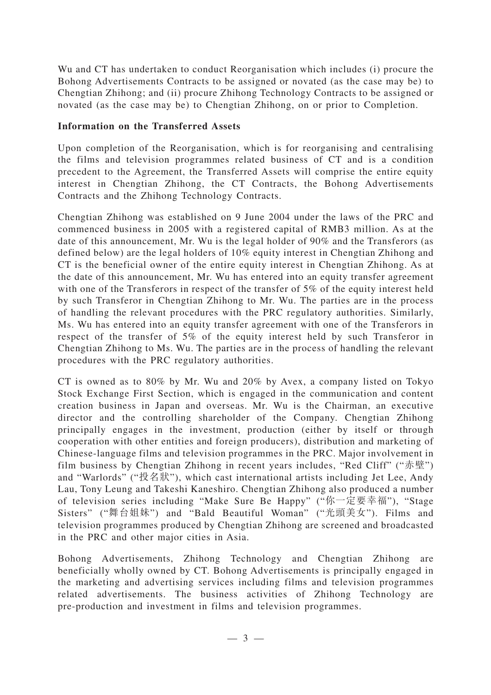Wu and CT has undertaken to conduct Reorganisation which includes (i) procure the Bohong Advertisements Contracts to be assigned or novated (as the case may be) to Chengtian Zhihong; and (ii) procure Zhihong Technology Contracts to be assigned or novated (as the case may be) to Chengtian Zhihong, on or prior to Completion.

## **Information on the Transferred Assets**

Upon completion of the Reorganisation, which is for reorganising and centralising the films and television programmes related business of CT and is a condition precedent to the Agreement, the Transferred Assets will comprise the entire equity interest in Chengtian Zhihong, the CT Contracts, the Bohong Advertisements Contracts and the Zhihong Technology Contracts.

Chengtian Zhihong was established on 9 June 2004 under the laws of the PRC and commenced business in 2005 with a registered capital of RMB3 million. As at the date of this announcement, Mr. Wu is the legal holder of 90% and the Transferors (as defined below) are the legal holders of 10% equity interest in Chengtian Zhihong and CT is the beneficial owner of the entire equity interest in Chengtian Zhihong. As at the date of this announcement, Mr. Wu has entered into an equity transfer agreement with one of the Transferors in respect of the transfer of 5% of the equity interest held by such Transferor in Chengtian Zhihong to Mr. Wu. The parties are in the process of handling the relevant procedures with the PRC regulatory authorities. Similarly, Ms. Wu has entered into an equity transfer agreement with one of the Transferors in respect of the transfer of 5% of the equity interest held by such Transferor in Chengtian Zhihong to Ms. Wu. The parties are in the process of handling the relevant procedures with the PRC regulatory authorities.

CT is owned as to 80% by Mr. Wu and 20% by Avex, a company listed on Tokyo Stock Exchange First Section, which is engaged in the communication and content creation business in Japan and overseas. Mr. Wu is the Chairman, an executive director and the controlling shareholder of the Company. Chengtian Zhihong principally engages in the investment, production (either by itself or through cooperation with other entities and foreign producers), distribution and marketing of Chinese-language films and television programmes in the PRC. Major involvement in film business by Chengtian Zhihong in recent years includes, "Red Cliff" ("赤壁") and "Warlords" ("投名狀"), which cast international artists including Jet Lee, Andy Lau, Tony Leung and Takeshi Kaneshiro. Chengtian Zhihong also produced a number of television series including "Make Sure Be Happy" ("你一定要幸福"), "Stage Sisters" ("舞台姐妹") and "Bald Beautiful Woman" ("光頭美女"). Films and television programmes produced by Chengtian Zhihong are screened and broadcasted in the PRC and other major cities in Asia.

Bohong Advertisements, Zhihong Technology and Chengtian Zhihong are beneficially wholly owned by CT. Bohong Advertisements is principally engaged in the marketing and advertising services including films and television programmes related advertisements. The business activities of Zhihong Technology are pre-production and investment in films and television programmes.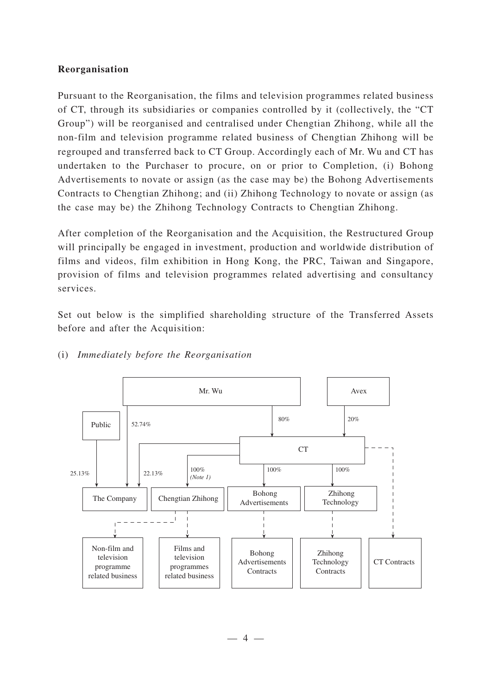#### **Reorganisation**

Pursuant to the Reorganisation, the films and television programmes related business of CT, through its subsidiaries or companies controlled by it (collectively, the "CT Group") will be reorganised and centralised under Chengtian Zhihong, while all the non-film and television programme related business of Chengtian Zhihong will be regrouped and transferred back to CT Group. Accordingly each of Mr. Wu and CT has undertaken to the Purchaser to procure, on or prior to Completion, (i) Bohong Advertisements to novate or assign (as the case may be) the Bohong Advertisements Contracts to Chengtian Zhihong; and (ii) Zhihong Technology to novate or assign (as the case may be) the Zhihong Technology Contracts to Chengtian Zhihong.

After completion of the Reorganisation and the Acquisition, the Restructured Group will principally be engaged in investment, production and worldwide distribution of films and videos, film exhibition in Hong Kong, the PRC, Taiwan and Singapore, provision of films and television programmes related advertising and consultancy services.

Set out below is the simplified shareholding structure of the Transferred Assets before and after the Acquisition:



#### (i) *Immediately before the Reorganisation*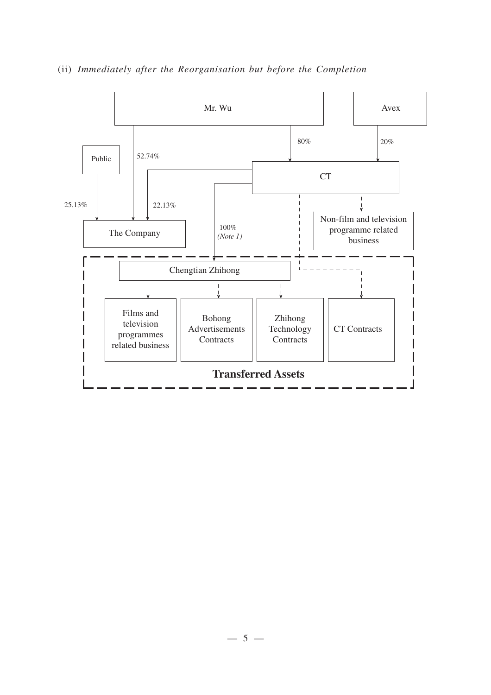

(ii) *Immediately after the Reorganisation but before the Completion*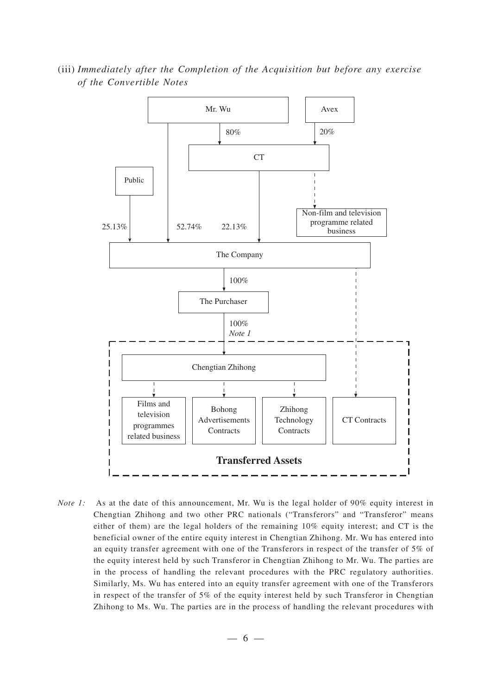80% 52.74% 22.13% 100% 20% 100% 25.13% Mr. Wu CT The Company Chengtian Zhihong Films and television programmes related business Bohong Advertisements **Contracts** Zhihong Technology **Contracts** CT Contracts Avex Non-film and television programme related business *Note 1* The Purchaser Public

(iii) *Immediately after the Completion of the Acquisition but before any exercise of the Convertible Notes*

*Note 1:* As at the date of this announcement, Mr. Wu is the legal holder of 90% equity interest in Chengtian Zhihong and two other PRC nationals ("Transferors" and "Transferor" means either of them) are the legal holders of the remaining 10% equity interest; and CT is the beneficial owner of the entire equity interest in Chengtian Zhihong. Mr. Wu has entered into an equity transfer agreement with one of the Transferors in respect of the transfer of 5% of the equity interest held by such Transferor in Chengtian Zhihong to Mr. Wu. The parties are in the process of handling the relevant procedures with the PRC regulatory authorities. Similarly, Ms. Wu has entered into an equity transfer agreement with one of the Transferors in respect of the transfer of 5% of the equity interest held by such Transferor in Chengtian Zhihong to Ms. Wu. The parties are in the process of handling the relevant procedures with

**Transferred Assets**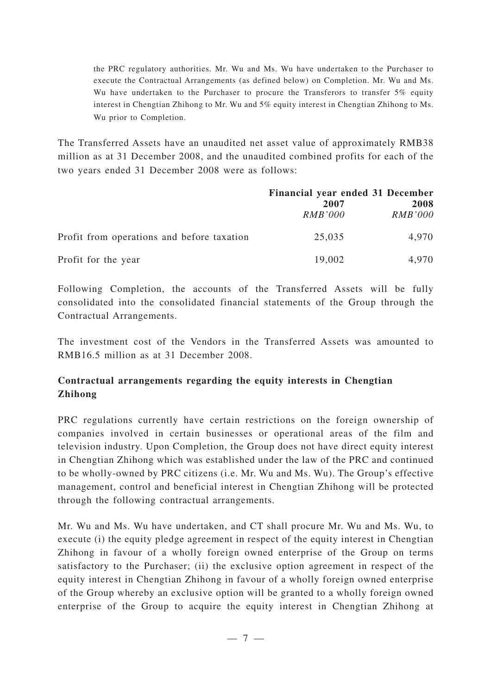the PRC regulatory authorities. Mr. Wu and Ms. Wu have undertaken to the Purchaser to execute the Contractual Arrangements (as defined below) on Completion. Mr. Wu and Ms. Wu have undertaken to the Purchaser to procure the Transferors to transfer 5% equity interest in Chengtian Zhihong to Mr. Wu and 5% equity interest in Chengtian Zhihong to Ms. Wu prior to Completion.

The Transferred Assets have an unaudited net asset value of approximately RMB38 million as at 31 December 2008, and the unaudited combined profits for each of the two years ended 31 December 2008 were as follows:

|                                            | Financial year ended 31 December<br>2007<br><i>RMB'000</i> | 2008<br><b>RMB'000</b> |
|--------------------------------------------|------------------------------------------------------------|------------------------|
| Profit from operations and before taxation | 25,035                                                     | 4,970                  |
| Profit for the year                        | 19,002                                                     | 4.970                  |

Following Completion, the accounts of the Transferred Assets will be fully consolidated into the consolidated financial statements of the Group through the Contractual Arrangements.

The investment cost of the Vendors in the Transferred Assets was amounted to RMB16.5 million as at 31 December 2008.

# **Contractual arrangements regarding the equity interests in Chengtian Zhihong**

PRC regulations currently have certain restrictions on the foreign ownership of companies involved in certain businesses or operational areas of the film and television industry. Upon Completion, the Group does not have direct equity interest in Chengtian Zhihong which was established under the law of the PRC and continued to be wholly-owned by PRC citizens (i.e. Mr. Wu and Ms. Wu). The Group's effective management, control and beneficial interest in Chengtian Zhihong will be protected through the following contractual arrangements.

Mr. Wu and Ms. Wu have undertaken, and CT shall procure Mr. Wu and Ms. Wu, to execute (i) the equity pledge agreement in respect of the equity interest in Chengtian Zhihong in favour of a wholly foreign owned enterprise of the Group on terms satisfactory to the Purchaser; (ii) the exclusive option agreement in respect of the equity interest in Chengtian Zhihong in favour of a wholly foreign owned enterprise of the Group whereby an exclusive option will be granted to a wholly foreign owned enterprise of the Group to acquire the equity interest in Chengtian Zhihong at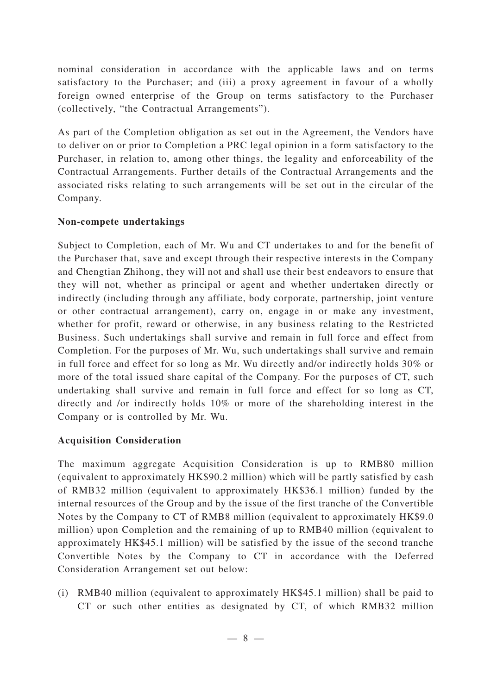nominal consideration in accordance with the applicable laws and on terms satisfactory to the Purchaser; and (iii) a proxy agreement in favour of a wholly foreign owned enterprise of the Group on terms satisfactory to the Purchaser (collectively, "the Contractual Arrangements").

As part of the Completion obligation as set out in the Agreement, the Vendors have to deliver on or prior to Completion a PRC legal opinion in a form satisfactory to the Purchaser, in relation to, among other things, the legality and enforceability of the Contractual Arrangements. Further details of the Contractual Arrangements and the associated risks relating to such arrangements will be set out in the circular of the Company.

# **Non-compete undertakings**

Subject to Completion, each of Mr. Wu and CT undertakes to and for the benefit of the Purchaser that, save and except through their respective interests in the Company and Chengtian Zhihong, they will not and shall use their best endeavors to ensure that they will not, whether as principal or agent and whether undertaken directly or indirectly (including through any affiliate, body corporate, partnership, joint venture or other contractual arrangement), carry on, engage in or make any investment, whether for profit, reward or otherwise, in any business relating to the Restricted Business. Such undertakings shall survive and remain in full force and effect from Completion. For the purposes of Mr. Wu, such undertakings shall survive and remain in full force and effect for so long as Mr. Wu directly and/or indirectly holds 30% or more of the total issued share capital of the Company. For the purposes of CT, such undertaking shall survive and remain in full force and effect for so long as CT, directly and /or indirectly holds 10% or more of the shareholding interest in the Company or is controlled by Mr. Wu.

# **Acquisition Consideration**

The maximum aggregate Acquisition Consideration is up to RMB80 million (equivalent to approximately HK\$90.2 million) which will be partly satisfied by cash of RMB32 million (equivalent to approximately HK\$36.1 million) funded by the internal resources of the Group and by the issue of the first tranche of the Convertible Notes by the Company to CT of RMB8 million (equivalent to approximately HK\$9.0 million) upon Completion and the remaining of up to RMB40 million (equivalent to approximately HK\$45.1 million) will be satisfied by the issue of the second tranche Convertible Notes by the Company to CT in accordance with the Deferred Consideration Arrangement set out below:

(i) RMB40 million (equivalent to approximately HK\$45.1 million) shall be paid to CT or such other entities as designated by CT, of which RMB32 million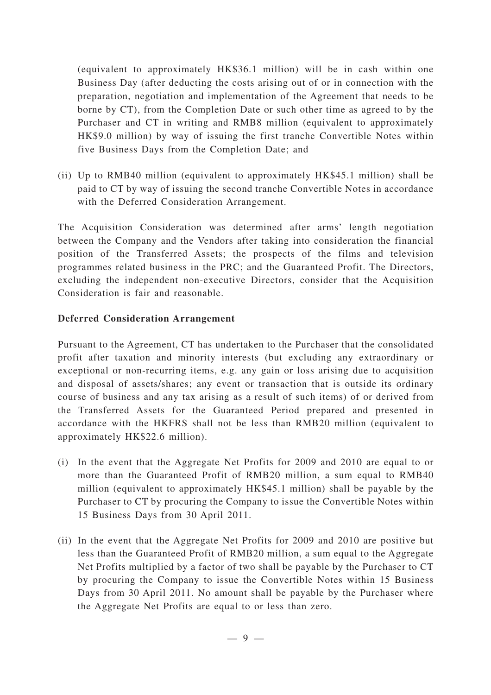(equivalent to approximately HK\$36.1 million) will be in cash within one Business Day (after deducting the costs arising out of or in connection with the preparation, negotiation and implementation of the Agreement that needs to be borne by CT), from the Completion Date or such other time as agreed to by the Purchaser and CT in writing and RMB8 million (equivalent to approximately HK\$9.0 million) by way of issuing the first tranche Convertible Notes within five Business Days from the Completion Date; and

(ii) Up to RMB40 million (equivalent to approximately HK\$45.1 million) shall be paid to CT by way of issuing the second tranche Convertible Notes in accordance with the Deferred Consideration Arrangement.

The Acquisition Consideration was determined after arms' length negotiation between the Company and the Vendors after taking into consideration the financial position of the Transferred Assets; the prospects of the films and television programmes related business in the PRC; and the Guaranteed Profit. The Directors, excluding the independent non-executive Directors, consider that the Acquisition Consideration is fair and reasonable.

## **Deferred Consideration Arrangement**

Pursuant to the Agreement, CT has undertaken to the Purchaser that the consolidated profit after taxation and minority interests (but excluding any extraordinary or exceptional or non-recurring items, e.g. any gain or loss arising due to acquisition and disposal of assets/shares; any event or transaction that is outside its ordinary course of business and any tax arising as a result of such items) of or derived from the Transferred Assets for the Guaranteed Period prepared and presented in accordance with the HKFRS shall not be less than RMB20 million (equivalent to approximately HK\$22.6 million).

- (i) In the event that the Aggregate Net Profits for 2009 and 2010 are equal to or more than the Guaranteed Profit of RMB20 million, a sum equal to RMB40 million (equivalent to approximately HK\$45.1 million) shall be payable by the Purchaser to CT by procuring the Company to issue the Convertible Notes within 15 Business Days from 30 April 2011.
- (ii) In the event that the Aggregate Net Profits for 2009 and 2010 are positive but less than the Guaranteed Profit of RMB20 million, a sum equal to the Aggregate Net Profits multiplied by a factor of two shall be payable by the Purchaser to CT by procuring the Company to issue the Convertible Notes within 15 Business Days from 30 April 2011. No amount shall be payable by the Purchaser where the Aggregate Net Profits are equal to or less than zero.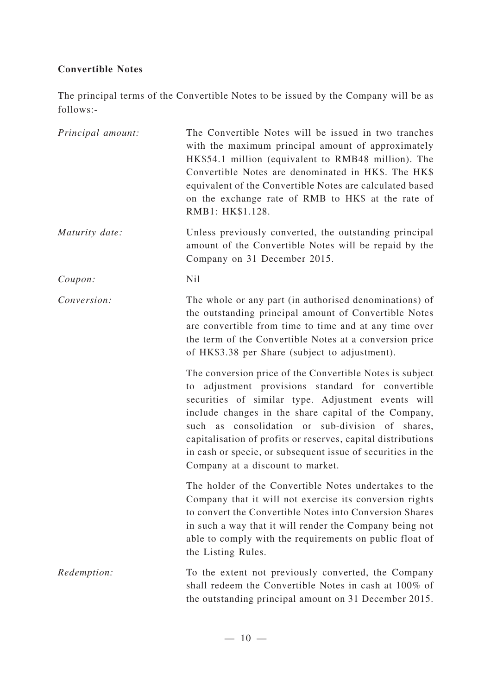# **Convertible Notes**

The principal terms of the Convertible Notes to be issued by the Company will be as follows:-

| Principal amount: | The Convertible Notes will be issued in two tranches<br>with the maximum principal amount of approximately<br>HK\$54.1 million (equivalent to RMB48 million). The<br>Convertible Notes are denominated in HK\$. The HK\$<br>equivalent of the Convertible Notes are calculated based<br>on the exchange rate of RMB to HK\$ at the rate of<br>RMB1: HK\$1.128.                                                                                     |
|-------------------|----------------------------------------------------------------------------------------------------------------------------------------------------------------------------------------------------------------------------------------------------------------------------------------------------------------------------------------------------------------------------------------------------------------------------------------------------|
| Maturity date:    | Unless previously converted, the outstanding principal<br>amount of the Convertible Notes will be repaid by the<br>Company on 31 December 2015.                                                                                                                                                                                                                                                                                                    |
| Coupon:           | N <sub>il</sub>                                                                                                                                                                                                                                                                                                                                                                                                                                    |
| Conversion:       | The whole or any part (in authorised denominations) of<br>the outstanding principal amount of Convertible Notes<br>are convertible from time to time and at any time over<br>the term of the Convertible Notes at a conversion price<br>of HK\$3.38 per Share (subject to adjustment).                                                                                                                                                             |
|                   | The conversion price of the Convertible Notes is subject<br>to adjustment provisions standard for convertible<br>securities of similar type. Adjustment events will<br>include changes in the share capital of the Company,<br>such as consolidation or sub-division of shares,<br>capitalisation of profits or reserves, capital distributions<br>in cash or specie, or subsequent issue of securities in the<br>Company at a discount to market. |
|                   | The holder of the Convertible Notes undertakes to the<br>Company that it will not exercise its conversion rights<br>to convert the Convertible Notes into Conversion Shares<br>in such a way that it will render the Company being not<br>able to comply with the requirements on public float of<br>the Listing Rules.                                                                                                                            |
| Redemption:       | To the extent not previously converted, the Company<br>shall redeem the Convertible Notes in cash at 100% of<br>the outstanding principal amount on 31 December 2015.                                                                                                                                                                                                                                                                              |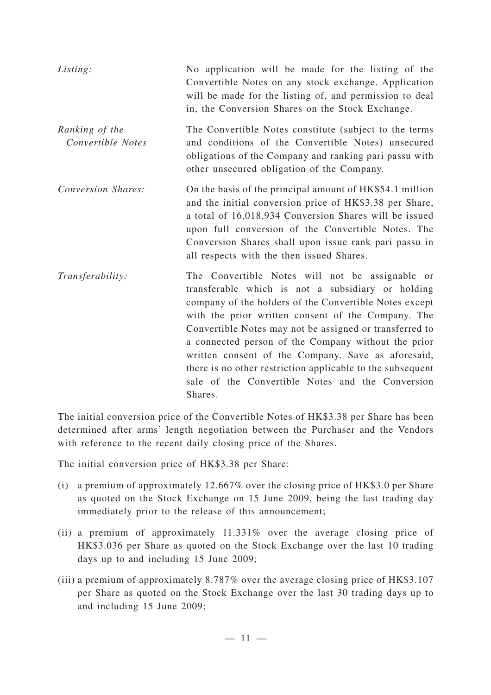| Listing:                            | No application will be made for the listing of the<br>Convertible Notes on any stock exchange. Application<br>will be made for the listing of, and permission to deal<br>in, the Conversion Shares on the Stock Exchange.                                                                                                                                                                                                                                                                                                 |
|-------------------------------------|---------------------------------------------------------------------------------------------------------------------------------------------------------------------------------------------------------------------------------------------------------------------------------------------------------------------------------------------------------------------------------------------------------------------------------------------------------------------------------------------------------------------------|
| Ranking of the<br>Convertible Notes | The Convertible Notes constitute (subject to the terms<br>and conditions of the Convertible Notes) unsecured<br>obligations of the Company and ranking pari passu with<br>other unsecured obligation of the Company.                                                                                                                                                                                                                                                                                                      |
| Conversion Shares:                  | On the basis of the principal amount of HK\$54.1 million<br>and the initial conversion price of HK\$3.38 per Share,<br>a total of 16,018,934 Conversion Shares will be issued<br>upon full conversion of the Convertible Notes. The<br>Conversion Shares shall upon issue rank pari passu in<br>all respects with the then issued Shares.                                                                                                                                                                                 |
| Transferability:                    | The Convertible Notes will not be assignable or<br>transferable which is not a subsidiary or holding<br>company of the holders of the Convertible Notes except<br>with the prior written consent of the Company. The<br>Convertible Notes may not be assigned or transferred to<br>a connected person of the Company without the prior<br>written consent of the Company. Save as aforesaid,<br>there is no other restriction applicable to the subsequent<br>sale of the Convertible Notes and the Conversion<br>Shares. |

The initial conversion price of the Convertible Notes of HK\$3.38 per Share has been determined after arms' length negotiation between the Purchaser and the Vendors with reference to the recent daily closing price of the Shares.

The initial conversion price of HK\$3.38 per Share:

- (i) a premium of approximately 12.667% over the closing price of HK\$3.0 per Share as quoted on the Stock Exchange on 15 June 2009, being the last trading day immediately prior to the release of this announcement;
- (ii) a premium of approximately 11.331% over the average closing price of HK\$3.036 per Share as quoted on the Stock Exchange over the last 10 trading days up to and including 15 June 2009;
- (iii) a premium of approximately 8.787% over the average closing price of HK\$3.107 per Share as quoted on the Stock Exchange over the last 30 trading days up to and including 15 June 2009;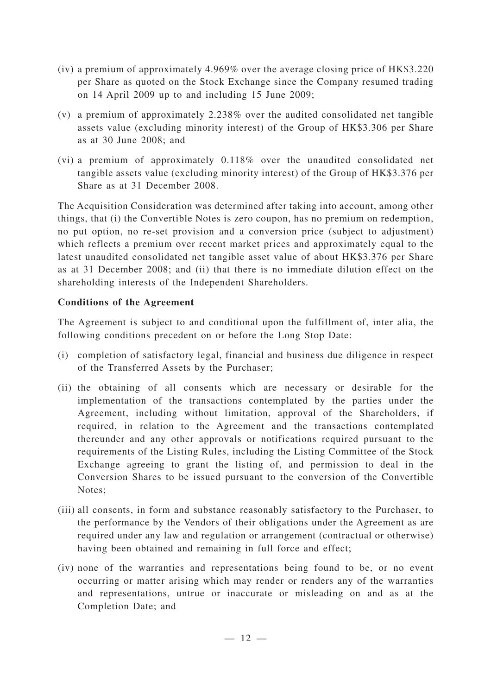- (iv) a premium of approximately 4.969% over the average closing price of HK\$3.220 per Share as quoted on the Stock Exchange since the Company resumed trading on 14 April 2009 up to and including 15 June 2009;
- (v) a premium of approximately 2.238% over the audited consolidated net tangible assets value (excluding minority interest) of the Group of HK\$3.306 per Share as at 30 June 2008; and
- (vi) a premium of approximately 0.118% over the unaudited consolidated net tangible assets value (excluding minority interest) of the Group of HK\$3.376 per Share as at 31 December 2008.

The Acquisition Consideration was determined after taking into account, among other things, that (i) the Convertible Notes is zero coupon, has no premium on redemption, no put option, no re-set provision and a conversion price (subject to adjustment) which reflects a premium over recent market prices and approximately equal to the latest unaudited consolidated net tangible asset value of about HK\$3.376 per Share as at 31 December 2008; and (ii) that there is no immediate dilution effect on the shareholding interests of the Independent Shareholders.

# **Conditions of the Agreement**

The Agreement is subject to and conditional upon the fulfillment of, inter alia, the following conditions precedent on or before the Long Stop Date:

- (i) completion of satisfactory legal, financial and business due diligence in respect of the Transferred Assets by the Purchaser;
- (ii) the obtaining of all consents which are necessary or desirable for the implementation of the transactions contemplated by the parties under the Agreement, including without limitation, approval of the Shareholders, if required, in relation to the Agreement and the transactions contemplated thereunder and any other approvals or notifications required pursuant to the requirements of the Listing Rules, including the Listing Committee of the Stock Exchange agreeing to grant the listing of, and permission to deal in the Conversion Shares to be issued pursuant to the conversion of the Convertible Notes;
- (iii) all consents, in form and substance reasonably satisfactory to the Purchaser, to the performance by the Vendors of their obligations under the Agreement as are required under any law and regulation or arrangement (contractual or otherwise) having been obtained and remaining in full force and effect;
- (iv) none of the warranties and representations being found to be, or no event occurring or matter arising which may render or renders any of the warranties and representations, untrue or inaccurate or misleading on and as at the Completion Date; and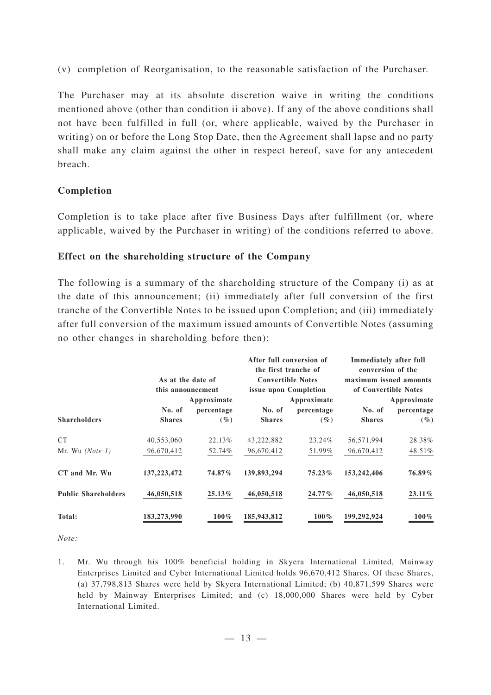(v) completion of Reorganisation, to the reasonable satisfaction of the Purchaser.

The Purchaser may at its absolute discretion waive in writing the conditions mentioned above (other than condition ii above). If any of the above conditions shall not have been fulfilled in full (or, where applicable, waived by the Purchaser in writing) on or before the Long Stop Date, then the Agreement shall lapse and no party shall make any claim against the other in respect hereof, save for any antecedent breach.

# **Completion**

Completion is to take place after five Business Days after fulfillment (or, where applicable, waived by the Purchaser in writing) of the conditions referred to above.

#### **Effect on the shareholding structure of the Company**

The following is a summary of the shareholding structure of the Company (i) as at the date of this announcement; (ii) immediately after full conversion of the first tranche of the Convertible Notes to be issued upon Completion; and (iii) immediately after full conversion of the maximum issued amounts of Convertible Notes (assuming no other changes in shareholding before then):

|                            | As at the date of<br>this announcement |             | After full conversion of<br>the first tranche of<br><b>Convertible Notes</b><br>issue upon Completion |             | Immediately after full<br>conversion of the<br>maximum issued amounts<br>of Convertible Notes |             |
|----------------------------|----------------------------------------|-------------|-------------------------------------------------------------------------------------------------------|-------------|-----------------------------------------------------------------------------------------------|-------------|
|                            |                                        | Approximate |                                                                                                       | Approximate |                                                                                               | Approximate |
|                            | No. of                                 | percentage  | No. of                                                                                                | percentage  | No. of                                                                                        | percentage  |
| <b>Shareholders</b>        | <b>Shares</b>                          | $(\%)$      | <b>Shares</b>                                                                                         | $(\%)$      | <b>Shares</b>                                                                                 | $(\%)$      |
| <b>CT</b>                  | 40,553,060                             | 22.13%      | 43,222,882                                                                                            | 23.24%      | 56,571,994                                                                                    | 28.38%      |
| Mr. Wu $(Note 1)$          | 96,670,412                             | 52.74%      | 96,670,412                                                                                            | 51.99%      | 96,670,412                                                                                    | 48.51%      |
| CT and Mr. Wu              | 137, 223, 472                          | 74.87%      | 139,893,294                                                                                           | $75.23\%$   | 153,242,406                                                                                   | 76.89%      |
| <b>Public Shareholders</b> | 46,050,518                             | 25.13%      | 46,050,518                                                                                            | $24.77\%$   | 46,050,518                                                                                    | $23.11\%$   |
| Total:                     | 183,273,990                            | $100\%$     | 185,943,812                                                                                           | $100\%$     | 199,292,924                                                                                   | $100\%$     |

*Note:*

1. Mr. Wu through his 100% beneficial holding in Skyera International Limited, Mainway Enterprises Limited and Cyber International Limited holds 96,670,412 Shares. Of these Shares, (a) 37,798,813 Shares were held by Skyera International Limited; (b) 40,871,599 Shares were held by Mainway Enterprises Limited; and (c) 18,000,000 Shares were held by Cyber International Limited.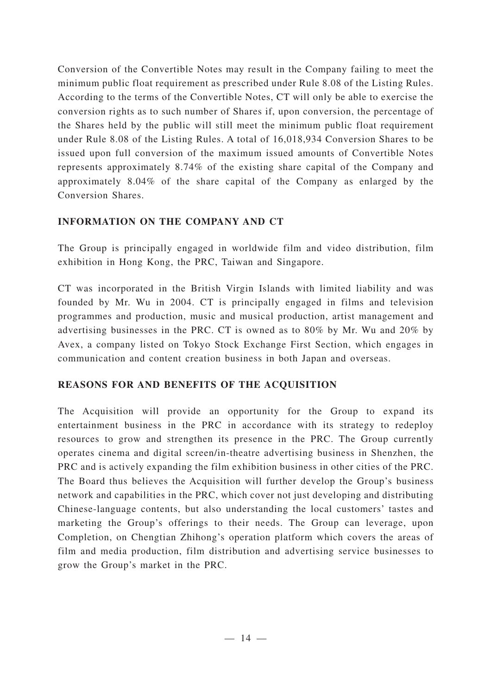Conversion of the Convertible Notes may result in the Company failing to meet the minimum public float requirement as prescribed under Rule 8.08 of the Listing Rules. According to the terms of the Convertible Notes, CT will only be able to exercise the conversion rights as to such number of Shares if, upon conversion, the percentage of the Shares held by the public will still meet the minimum public float requirement under Rule 8.08 of the Listing Rules. A total of 16,018,934 Conversion Shares to be issued upon full conversion of the maximum issued amounts of Convertible Notes represents approximately 8.74% of the existing share capital of the Company and approximately 8.04% of the share capital of the Company as enlarged by the Conversion Shares.

# **INFORMATION ON THE COMPANY AND CT**

The Group is principally engaged in worldwide film and video distribution, film exhibition in Hong Kong, the PRC, Taiwan and Singapore.

CT was incorporated in the British Virgin Islands with limited liability and was founded by Mr. Wu in 2004. CT is principally engaged in films and television programmes and production, music and musical production, artist management and advertising businesses in the PRC. CT is owned as to 80% by Mr. Wu and 20% by Avex, a company listed on Tokyo Stock Exchange First Section, which engages in communication and content creation business in both Japan and overseas.

# **REASONS FOR AND BENEFITS OF THE ACQUISITION**

The Acquisition will provide an opportunity for the Group to expand its entertainment business in the PRC in accordance with its strategy to redeploy resources to grow and strengthen its presence in the PRC. The Group currently operates cinema and digital screen/in-theatre advertising business in Shenzhen, the PRC and is actively expanding the film exhibition business in other cities of the PRC. The Board thus believes the Acquisition will further develop the Group's business network and capabilities in the PRC, which cover not just developing and distributing Chinese-language contents, but also understanding the local customers' tastes and marketing the Group's offerings to their needs. The Group can leverage, upon Completion, on Chengtian Zhihong's operation platform which covers the areas of film and media production, film distribution and advertising service businesses to grow the Group's market in the PRC.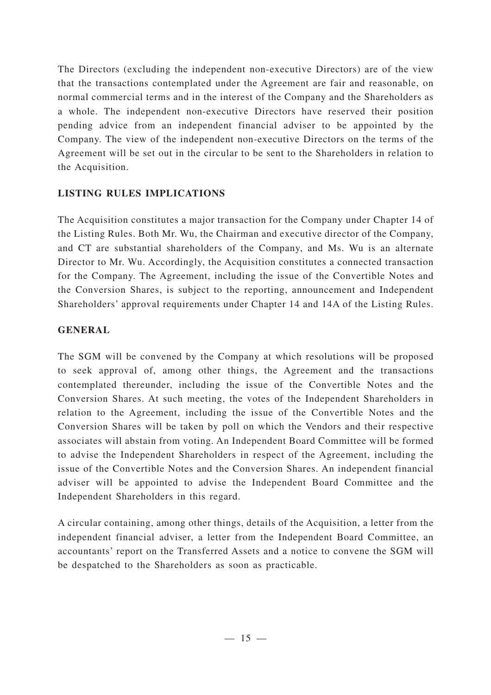The Directors (excluding the independent non-executive Directors) are of the view that the transactions contemplated under the Agreement are fair and reasonable, on normal commercial terms and in the interest of the Company and the Shareholders as a whole. The independent non-executive Directors have reserved their position pending advice from an independent financial adviser to be appointed by the Company. The view of the independent non-executive Directors on the terms of the Agreement will be set out in the circular to be sent to the Shareholders in relation to the Acquisition.

# **LISTING RULES IMPLICATIONS**

The Acquisition constitutes a major transaction for the Company under Chapter 14 of the Listing Rules. Both Mr. Wu, the Chairman and executive director of the Company, and CT are substantial shareholders of the Company, and Ms. Wu is an alternate Director to Mr. Wu. Accordingly, the Acquisition constitutes a connected transaction for the Company. The Agreement, including the issue of the Convertible Notes and the Conversion Shares, is subject to the reporting, announcement and Independent Shareholders' approval requirements under Chapter 14 and 14A of the Listing Rules.

# **GENERAL**

The SGM will be convened by the Company at which resolutions will be proposed to seek approval of, among other things, the Agreement and the transactions contemplated thereunder, including the issue of the Convertible Notes and the Conversion Shares. At such meeting, the votes of the Independent Shareholders in relation to the Agreement, including the issue of the Convertible Notes and the Conversion Shares will be taken by poll on which the Vendors and their respective associates will abstain from voting. An Independent Board Committee will be formed to advise the Independent Shareholders in respect of the Agreement, including the issue of the Convertible Notes and the Conversion Shares. An independent financial adviser will be appointed to advise the Independent Board Committee and the Independent Shareholders in this regard.

A circular containing, among other things, details of the Acquisition, a letter from the independent financial adviser, a letter from the Independent Board Committee, an accountants' report on the Transferred Assets and a notice to convene the SGM will be despatched to the Shareholders as soon as practicable.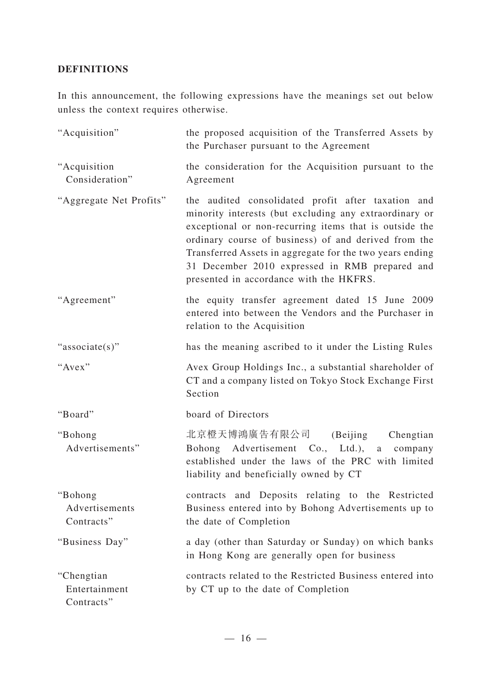# **DEFINITIONS**

In this announcement, the following expressions have the meanings set out below unless the context requires otherwise.

| "Acquisition"                             | the proposed acquisition of the Transferred Assets by<br>the Purchaser pursuant to the Agreement                                                                                                                                                                                                                                                                                        |
|-------------------------------------------|-----------------------------------------------------------------------------------------------------------------------------------------------------------------------------------------------------------------------------------------------------------------------------------------------------------------------------------------------------------------------------------------|
| "Acquisition<br>Consideration"            | the consideration for the Acquisition pursuant to the<br>Agreement                                                                                                                                                                                                                                                                                                                      |
| "Aggregate Net Profits"                   | the audited consolidated profit after taxation and<br>minority interests (but excluding any extraordinary or<br>exceptional or non-recurring items that is outside the<br>ordinary course of business) of and derived from the<br>Transferred Assets in aggregate for the two years ending<br>31 December 2010 expressed in RMB prepared and<br>presented in accordance with the HKFRS. |
| "Agreement"                               | the equity transfer agreement dated 15 June 2009<br>entered into between the Vendors and the Purchaser in<br>relation to the Acquisition                                                                                                                                                                                                                                                |
| "associate(s)"                            | has the meaning ascribed to it under the Listing Rules                                                                                                                                                                                                                                                                                                                                  |
| "Avex"                                    | Avex Group Holdings Inc., a substantial shareholder of<br>CT and a company listed on Tokyo Stock Exchange First<br>Section                                                                                                                                                                                                                                                              |
| "Board"                                   | board of Directors                                                                                                                                                                                                                                                                                                                                                                      |
| "Bohong<br>Advertisements"                | 北京橙天博鴻廣告有限公司 (Beijing Chengtian<br>Bohong Advertisement Co., Ltd.), a<br>company<br>established under the laws of the PRC with limited<br>liability and beneficially owned by CT                                                                                                                                                                                                        |
| "Bohong"<br>Advertisements<br>Contracts"  | contracts and Deposits relating to the Restricted<br>Business entered into by Bohong Advertisements up to<br>the date of Completion                                                                                                                                                                                                                                                     |
| "Business Day"                            | a day (other than Saturday or Sunday) on which banks<br>in Hong Kong are generally open for business                                                                                                                                                                                                                                                                                    |
| "Chengtian<br>Entertainment<br>Contracts" | contracts related to the Restricted Business entered into<br>by CT up to the date of Completion                                                                                                                                                                                                                                                                                         |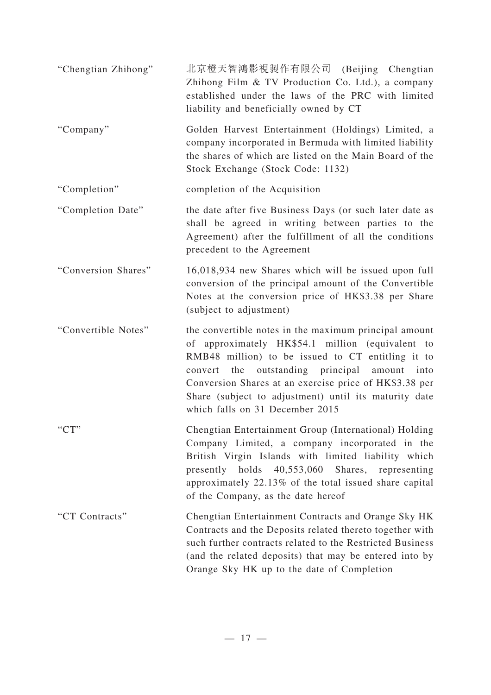| "Chengtian Zhihong" | 北京橙天智鴻影視製作有限公司 (Beijing Chengtian<br>Zhihong Film & TV Production Co. Ltd.), a company<br>established under the laws of the PRC with limited<br>liability and beneficially owned by CT                                                                                                                                                                                |
|---------------------|-----------------------------------------------------------------------------------------------------------------------------------------------------------------------------------------------------------------------------------------------------------------------------------------------------------------------------------------------------------------------|
| "Company"           | Golden Harvest Entertainment (Holdings) Limited, a<br>company incorporated in Bermuda with limited liability<br>the shares of which are listed on the Main Board of the<br>Stock Exchange (Stock Code: 1132)                                                                                                                                                          |
| "Completion"        | completion of the Acquisition                                                                                                                                                                                                                                                                                                                                         |
| "Completion Date"   | the date after five Business Days (or such later date as<br>shall be agreed in writing between parties to the<br>Agreement) after the fulfillment of all the conditions<br>precedent to the Agreement                                                                                                                                                                 |
| "Conversion Shares" | 16,018,934 new Shares which will be issued upon full<br>conversion of the principal amount of the Convertible<br>Notes at the conversion price of HK\$3.38 per Share<br>(subject to adjustment)                                                                                                                                                                       |
| "Convertible Notes" | the convertible notes in the maximum principal amount<br>of approximately HK\$54.1 million (equivalent to<br>RMB48 million) to be issued to CT entitling it to<br>convert the outstanding principal amount into<br>Conversion Shares at an exercise price of HK\$3.38 per<br>Share (subject to adjustment) until its maturity date<br>which falls on 31 December 2015 |
| "CT"                | Chengtian Entertainment Group (International) Holding<br>Company Limited, a company incorporated in the<br>British Virgin Islands with limited liability which<br>40,553,060<br>Shares,<br>presently holds<br>representing<br>approximately 22.13% of the total issued share capital<br>of the Company, as the date hereof                                            |
| "CT Contracts"      | Chengtian Entertainment Contracts and Orange Sky HK<br>Contracts and the Deposits related thereto together with<br>such further contracts related to the Restricted Business<br>(and the related deposits) that may be entered into by<br>Orange Sky HK up to the date of Completion                                                                                  |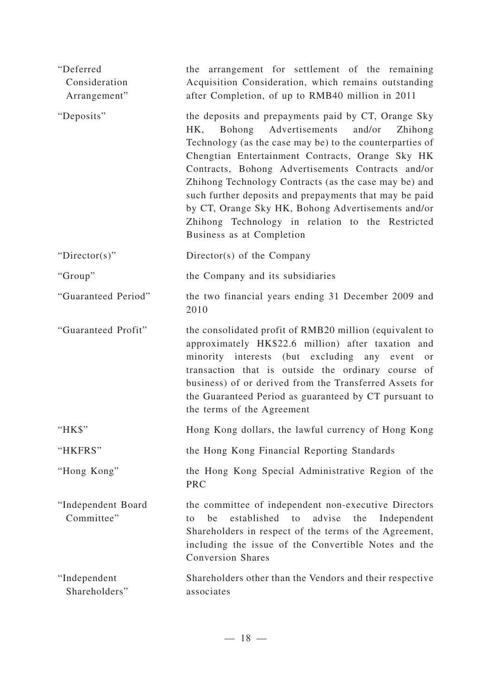| "Deferred<br>Consideration<br>Arrangement" | the arrangement for settlement of the remaining<br>Acquisition Consideration, which remains outstanding<br>after Completion, of up to RMB40 million in 2011                                                                                                                                                                                                                                                                                                                                                                          |
|--------------------------------------------|--------------------------------------------------------------------------------------------------------------------------------------------------------------------------------------------------------------------------------------------------------------------------------------------------------------------------------------------------------------------------------------------------------------------------------------------------------------------------------------------------------------------------------------|
| "Deposits"                                 | the deposits and prepayments paid by CT, Orange Sky<br>HK, Bohong Advertisements<br>and/or<br>Zhihong<br>Technology (as the case may be) to the counterparties of<br>Chengtian Entertainment Contracts, Orange Sky HK<br>Contracts, Bohong Advertisements Contracts and/or<br>Zhihong Technology Contracts (as the case may be) and<br>such further deposits and prepayments that may be paid<br>by CT, Orange Sky HK, Bohong Advertisements and/or<br>Zhihong Technology in relation to the Restricted<br>Business as at Completion |
| " $Directory$ "                            | Director(s) of the Company                                                                                                                                                                                                                                                                                                                                                                                                                                                                                                           |
| "Group"                                    | the Company and its subsidiaries                                                                                                                                                                                                                                                                                                                                                                                                                                                                                                     |
| "Guaranteed Period"                        | the two financial years ending 31 December 2009 and<br>2010                                                                                                                                                                                                                                                                                                                                                                                                                                                                          |
| "Guaranteed Profit"                        | the consolidated profit of RMB20 million (equivalent to<br>approximately HK\$22.6 million) after taxation and<br>minority interests (but excluding any event or<br>transaction that is outside the ordinary course of<br>business) of or derived from the Transferred Assets for<br>the Guaranteed Period as guaranteed by CT pursuant to<br>the terms of the Agreement                                                                                                                                                              |
| "HK\$"                                     | Hong Kong dollars, the lawful currency of Hong Kong                                                                                                                                                                                                                                                                                                                                                                                                                                                                                  |
| "HKFRS"                                    | the Hong Kong Financial Reporting Standards                                                                                                                                                                                                                                                                                                                                                                                                                                                                                          |
| "Hong Kong"                                | the Hong Kong Special Administrative Region of the<br><b>PRC</b>                                                                                                                                                                                                                                                                                                                                                                                                                                                                     |
| "Independent Board<br>Committee"           | the committee of independent non-executive Directors<br>established to<br>advise<br>the<br>Independent<br>be<br>to<br>Shareholders in respect of the terms of the Agreement,<br>including the issue of the Convertible Notes and the<br><b>Conversion Shares</b>                                                                                                                                                                                                                                                                     |
| "Independent<br>Shareholders"              | Shareholders other than the Vendors and their respective<br>associates                                                                                                                                                                                                                                                                                                                                                                                                                                                               |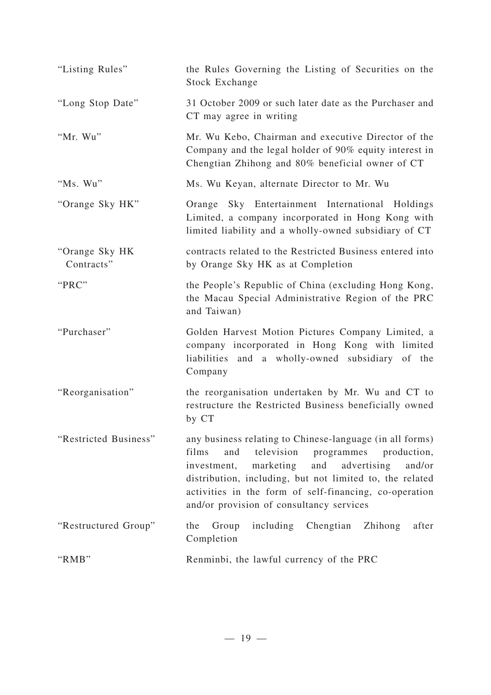| "Listing Rules"              | the Rules Governing the Listing of Securities on the<br><b>Stock Exchange</b>                                                                                                                                                                                                                                                                  |
|------------------------------|------------------------------------------------------------------------------------------------------------------------------------------------------------------------------------------------------------------------------------------------------------------------------------------------------------------------------------------------|
| "Long Stop Date"             | 31 October 2009 or such later date as the Purchaser and<br>CT may agree in writing                                                                                                                                                                                                                                                             |
| "Mr. Wu"                     | Mr. Wu Kebo, Chairman and executive Director of the<br>Company and the legal holder of 90% equity interest in<br>Chengtian Zhihong and 80% beneficial owner of CT                                                                                                                                                                              |
| "Ms. Wu"                     | Ms. Wu Keyan, alternate Director to Mr. Wu                                                                                                                                                                                                                                                                                                     |
| "Orange Sky HK"              | Orange Sky Entertainment International Holdings<br>Limited, a company incorporated in Hong Kong with<br>limited liability and a wholly-owned subsidiary of CT                                                                                                                                                                                  |
| "Orange Sky HK<br>Contracts" | contracts related to the Restricted Business entered into<br>by Orange Sky HK as at Completion                                                                                                                                                                                                                                                 |
| "PRC"                        | the People's Republic of China (excluding Hong Kong,<br>the Macau Special Administrative Region of the PRC<br>and Taiwan)                                                                                                                                                                                                                      |
| "Purchaser"                  | Golden Harvest Motion Pictures Company Limited, a<br>company incorporated in Hong Kong with limited<br>liabilities and a wholly-owned subsidiary of the<br>Company                                                                                                                                                                             |
| "Reorganisation"             | the reorganisation undertaken by Mr. Wu and CT to<br>restructure the Restricted Business beneficially owned<br>by CT                                                                                                                                                                                                                           |
| "Restricted Business"        | any business relating to Chinese-language (in all forms)<br>television<br>films<br>and<br>programmes<br>production,<br>and advertising<br>marketing<br>and/or<br>investment,<br>distribution, including, but not limited to, the related<br>activities in the form of self-financing, co-operation<br>and/or provision of consultancy services |
| "Restructured Group"         | including Chengtian<br>the<br>Group<br>Zhihong<br>after<br>Completion                                                                                                                                                                                                                                                                          |
| "RMB"                        | Renminbi, the lawful currency of the PRC                                                                                                                                                                                                                                                                                                       |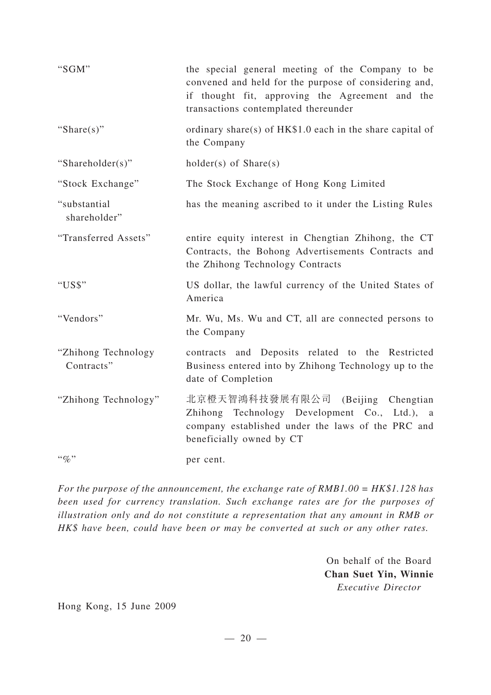| "SGM"                             | the special general meeting of the Company to be<br>convened and held for the purpose of considering and,<br>if thought fit, approving the Agreement and the<br>transactions contemplated thereunder |
|-----------------------------------|------------------------------------------------------------------------------------------------------------------------------------------------------------------------------------------------------|
| "Share $(s)$ "                    | ordinary share(s) of HK\$1.0 each in the share capital of<br>the Company                                                                                                                             |
| "Shareholder(s)"                  | $holder(s)$ of $Share(s)$                                                                                                                                                                            |
| "Stock Exchange"                  | The Stock Exchange of Hong Kong Limited                                                                                                                                                              |
| "substantial<br>shareholder"      | has the meaning ascribed to it under the Listing Rules                                                                                                                                               |
| "Transferred Assets"              | entire equity interest in Chengtian Zhihong, the CT<br>Contracts, the Bohong Advertisements Contracts and<br>the Zhihong Technology Contracts                                                        |
| "US\$"                            | US dollar, the lawful currency of the United States of<br>America                                                                                                                                    |
| "Vendors"                         | Mr. Wu, Ms. Wu and CT, all are connected persons to<br>the Company                                                                                                                                   |
| "Zhihong Technology<br>Contracts" | contracts and Deposits related to the Restricted<br>Business entered into by Zhihong Technology up to the<br>date of Completion                                                                      |
| "Zhihong Technology"              | 北京橙天智鴻科技發展有限公司 (Beijing Chengtian<br>Zhihong Technology Development Co., Ltd.), a<br>company established under the laws of the PRC and<br>beneficially owned by CT                                   |
| $``\%"$                           | per cent.                                                                                                                                                                                            |

*For the purpose of the announcement, the exchange rate of RMB1.00 = HK\$1.128 has been used for currency translation. Such exchange rates are for the purposes of illustration only and do not constitute a representation that any amount in RMB or HK\$ have been, could have been or may be converted at such or any other rates.*

> On behalf of the Board **Chan Suet Yin, Winnie** *Executive Director*

Hong Kong, 15 June 2009